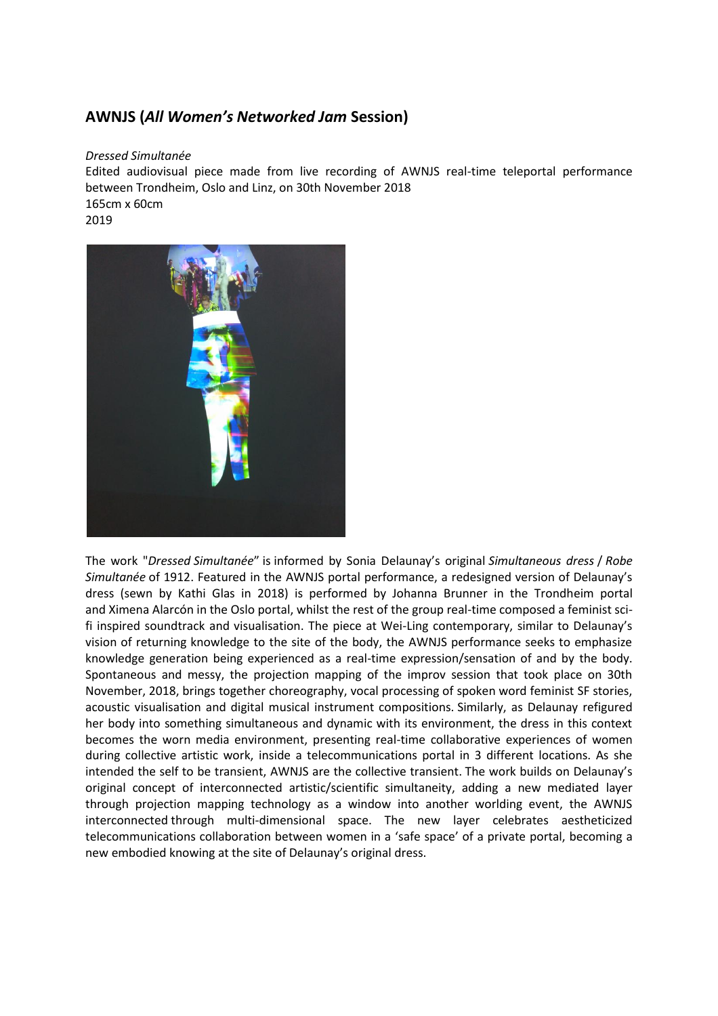## **AWNJS (***All Women's Networked Jam* **Session)**

#### *Dressed Simultanée*

Edited audiovisual piece made from live recording of AWNJS real-time teleportal performance between Trondheim, Oslo and Linz, on 30th November 2018 165cm x 60cm

2019



The work "*Dressed Simultanée*" is informed by Sonia Delaunay's original *Simultaneous dress* / *Robe Simultanée* of 1912. Featured in the AWNJS portal performance, a redesigned version of Delaunay's dress (sewn by Kathi Glas in 2018) is performed by Johanna Brunner in the Trondheim portal and Ximena Alarcón in the Oslo portal, whilst the rest of the group real-time composed a feminist scifi inspired soundtrack and visualisation. The piece at Wei-Ling contemporary, similar to Delaunay's vision of returning knowledge to the site of the body, the AWNJS performance seeks to emphasize knowledge generation being experienced as a real-time expression/sensation of and by the body. Spontaneous and messy, the projection mapping of the improv session that took place on 30th November, 2018, brings together choreography, vocal processing of spoken word feminist SF stories, acoustic visualisation and digital musical instrument compositions. Similarly, as Delaunay refigured her body into something simultaneous and dynamic with its environment, the dress in this context becomes the worn media environment, presenting real-time collaborative experiences of women during collective artistic work, inside a telecommunications portal in 3 different locations. As she intended the self to be transient, AWNJS are the collective transient. The work builds on Delaunay's original concept of interconnected artistic/scientific simultaneity, adding a new mediated layer through projection mapping technology as a window into another worlding event, the AWNJS interconnected through multi-dimensional space. The new layer celebrates aestheticized telecommunications collaboration between women in a 'safe space' of a private portal, becoming a new embodied knowing at the site of Delaunay's original dress.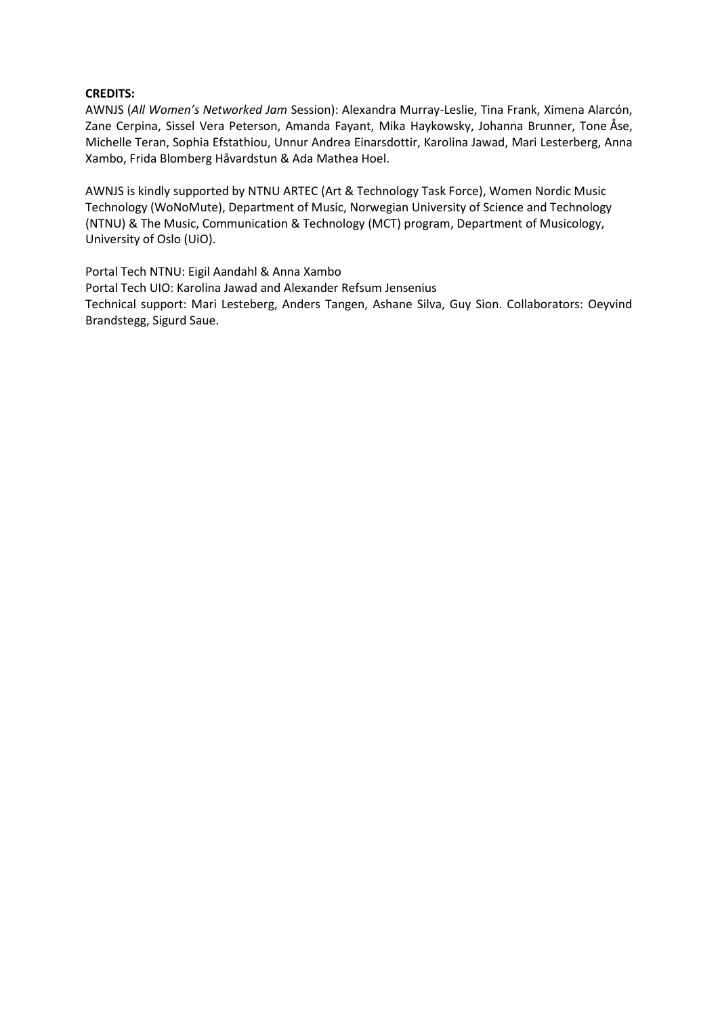### **CREDITS:**

AWNJS (*All Women's Networked Jam* Session): Alexandra Murray-Leslie, Tina Frank, Ximena Alarcón, Zane Cerpina, Sissel Vera Peterson, Amanda Fayant, Mika Haykowsky, Johanna Brunner, Tone Åse, Michelle Teran, Sophia Efstathiou, Unnur Andrea Einarsdottir, Karolina Jawad, Mari Lesterberg, Anna Xambo, Frida Blomberg Håvardstun & Ada Mathea Hoel.

AWNJS is kindly supported by NTNU ARTEC (Art & Technology Task Force), Women Nordic Music Technology (WoNoMute), Department of Music, Norwegian University of Science and Technology (NTNU) & The Music, Communication & Technology (MCT) program, Department of Musicology, University of Oslo (UiO).

Portal Tech NTNU: Eigil Aandahl & Anna Xambo Portal Tech UIO: Karolina Jawad and Alexander Refsum Jensenius Technical support: Mari Lesteberg, Anders Tangen, Ashane Silva, Guy Sion. Collaborators: Oeyvind Brandstegg, Sigurd Saue.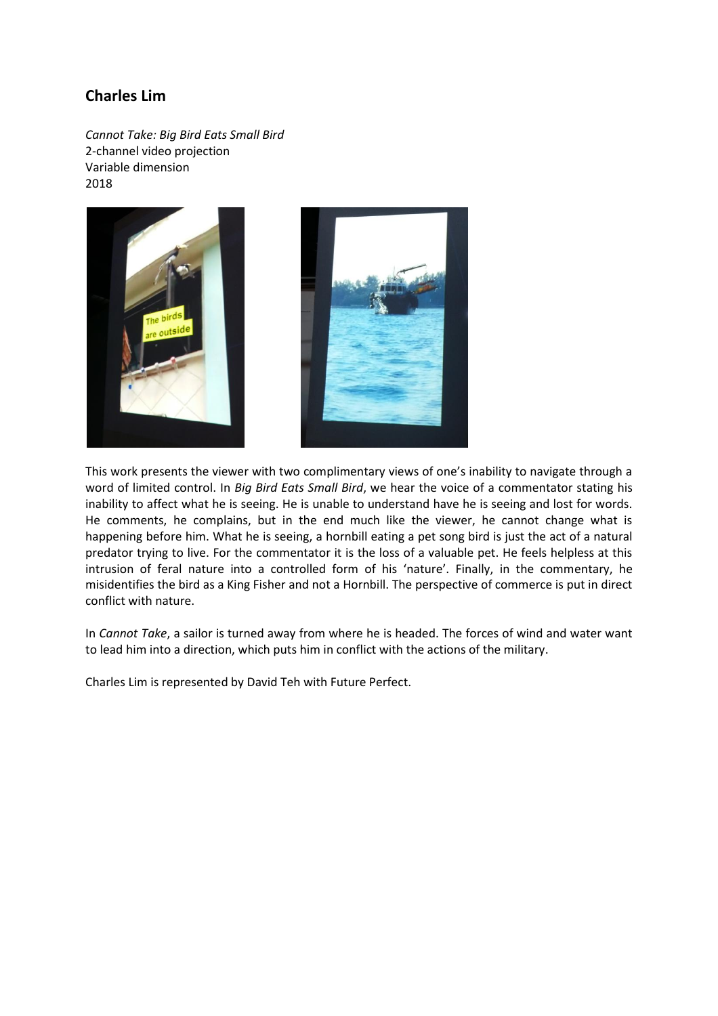## **Charles Lim**

*Cannot Take: Big Bird Eats Small Bird* 2-channel video projection Variable dimension 2018



This work presents the viewer with two complimentary views of one's inability to navigate through a word of limited control. In *Big Bird Eats Small Bird*, we hear the voice of a commentator stating his inability to affect what he is seeing. He is unable to understand have he is seeing and lost for words. He comments, he complains, but in the end much like the viewer, he cannot change what is happening before him. What he is seeing, a hornbill eating a pet song bird is just the act of a natural predator trying to live. For the commentator it is the loss of a valuable pet. He feels helpless at this intrusion of feral nature into a controlled form of his 'nature'. Finally, in the commentary, he misidentifies the bird as a King Fisher and not a Hornbill. The perspective of commerce is put in direct conflict with nature.

In *Cannot Take*, a sailor is turned away from where he is headed. The forces of wind and water want to lead him into a direction, which puts him in conflict with the actions of the military.

Charles Lim is represented by David Teh with Future Perfect.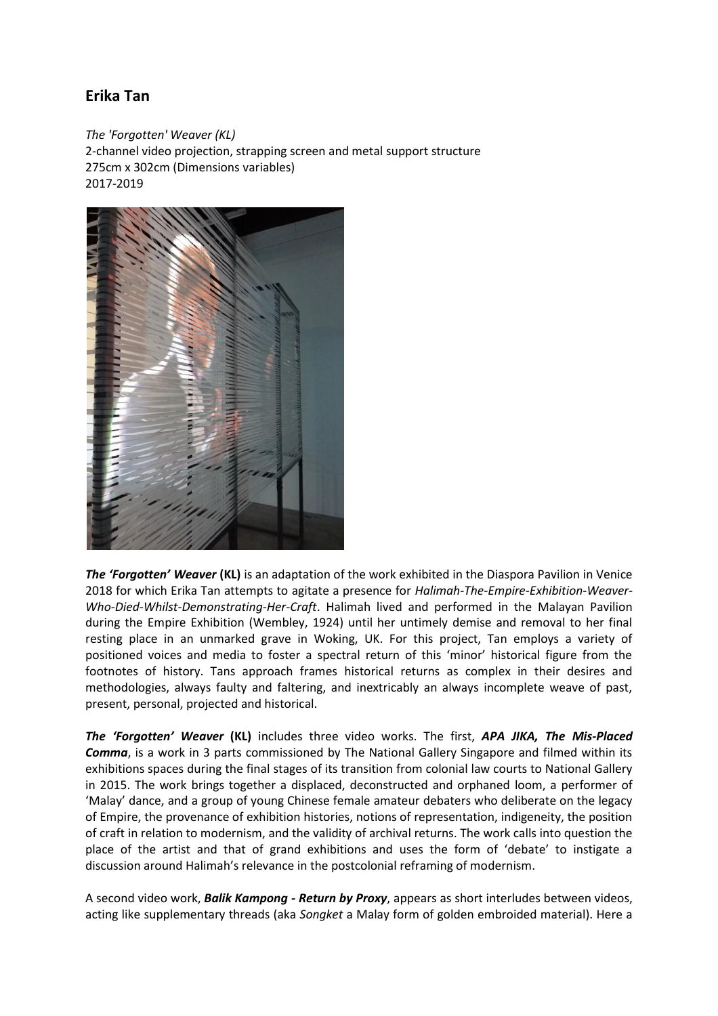# **Erika Tan**

*The 'Forgotten' Weaver (KL)* 2-channel video projection, strapping screen and metal support structure 275cm x 302cm (Dimensions variables) 2017-2019



*The 'Forgotten' Weaver* **(KL)** is an adaptation of the work exhibited in the Diaspora Pavilion in Venice 2018 for which Erika Tan attempts to agitate a presence for *Halimah-The-Empire-Exhibition-Weaver-Who-Died-Whilst-Demonstrating-Her-Craft*. Halimah lived and performed in the Malayan Pavilion during the Empire Exhibition (Wembley, 1924) until her untimely demise and removal to her final resting place in an unmarked grave in Woking, UK. For this project, Tan employs a variety of positioned voices and media to foster a spectral return of this 'minor' historical figure from the footnotes of history. Tans approach frames historical returns as complex in their desires and methodologies, always faulty and faltering, and inextricably an always incomplete weave of past, present, personal, projected and historical.

*The 'Forgotten' Weaver* **(KL)** includes three video works. The first, *APA JIKA, The Mis-Placed Comma*, is a work in 3 parts commissioned by The National Gallery Singapore and filmed within its exhibitions spaces during the final stages of its transition from colonial law courts to National Gallery in 2015. The work brings together a displaced, deconstructed and orphaned loom, a performer of 'Malay' dance, and a group of young Chinese female amateur debaters who deliberate on the legacy of Empire, the provenance of exhibition histories, notions of representation, indigeneity, the position of craft in relation to modernism, and the validity of archival returns. The work calls into question the place of the artist and that of grand exhibitions and uses the form of 'debate' to instigate a discussion around Halimah's relevance in the postcolonial reframing of modernism.

A second video work, *Balik Kampong - Return by Proxy*, appears as short interludes between videos, acting like supplementary threads (aka *Songket* a Malay form of golden embroided material). Here a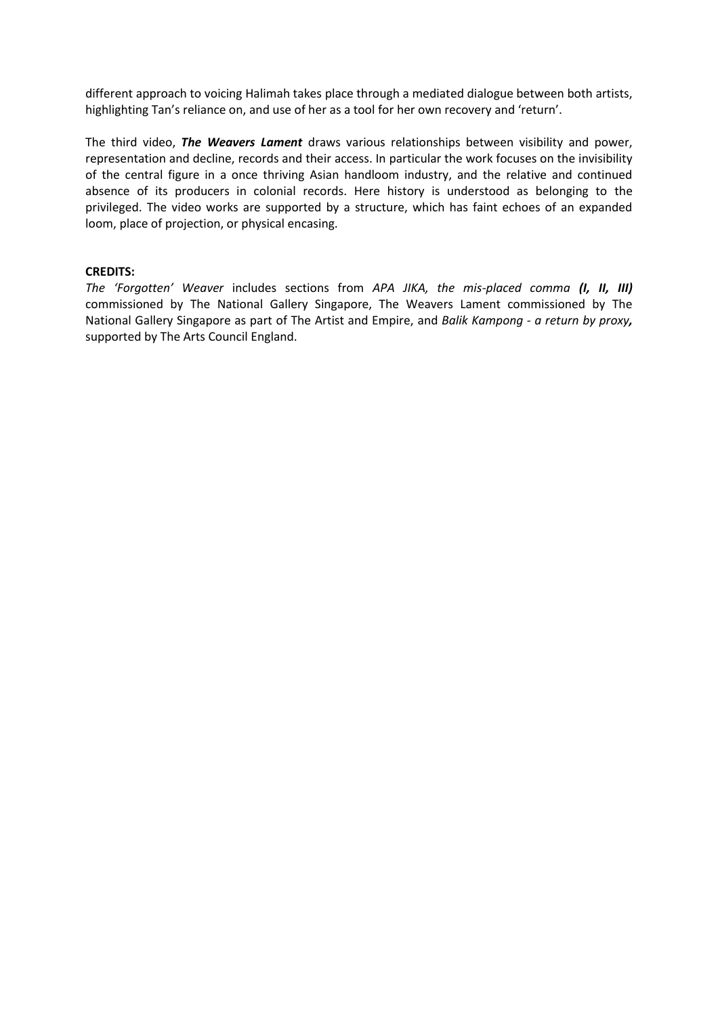different approach to voicing Halimah takes place through a mediated dialogue between both artists, highlighting Tan's reliance on, and use of her as a tool for her own recovery and 'return'.

The third video, *The Weavers Lament* draws various relationships between visibility and power, representation and decline, records and their access. In particular the work focuses on the invisibility of the central figure in a once thriving Asian handloom industry, and the relative and continued absence of its producers in colonial records. Here history is understood as belonging to the privileged. The video works are supported by a structure, which has faint echoes of an expanded loom, place of projection, or physical encasing.

### **CREDITS:**

*The 'Forgotten' Weaver* includes sections from *APA JIKA, the mis-placed comma (I, II, III)* commissioned by The National Gallery Singapore, The Weavers Lament commissioned by The National Gallery Singapore as part of The Artist and Empire, and *Balik Kampong - a return by proxy,*  supported by The Arts Council England.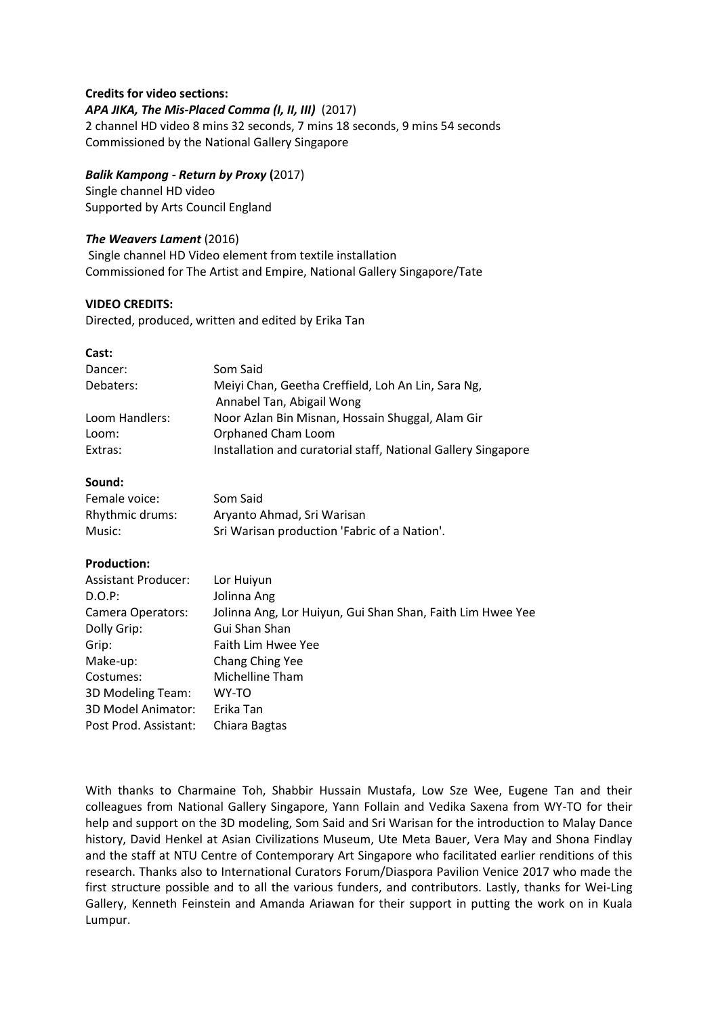### **Credits for video sections:**

### *APA JIKA, The Mis-Placed Comma (I, II, III)* (2017)

2 channel HD video 8 mins 32 seconds, 7 mins 18 seconds, 9 mins 54 seconds Commissioned by the National Gallery Singapore

### *Balik Kampong - Return by Proxy* **(**2017)

Single channel HD video Supported by Arts Council England

### *The Weavers Lament* (2016)

Single channel HD Video element from textile installation Commissioned for The Artist and Empire, National Gallery Singapore/Tate

### **VIDEO CREDITS:**

Directed, produced, written and edited by Erika Tan

### **Cast:**

| Dancer:        | Som Said                                                      |
|----------------|---------------------------------------------------------------|
| Debaters:      | Meiyi Chan, Geetha Creffield, Loh An Lin, Sara Ng,            |
|                | Annabel Tan, Abigail Wong                                     |
| Loom Handlers: | Noor Azlan Bin Misnan, Hossain Shuggal, Alam Gir              |
| Loom:          | Orphaned Cham Loom                                            |
| Extras:        | Installation and curatorial staff, National Gallery Singapore |

### **Sound:**

| Female voice:   | Som Said                                     |
|-----------------|----------------------------------------------|
| Rhythmic drums: | Aryanto Ahmad, Sri Warisan                   |
| Music:          | Sri Warisan production 'Fabric of a Nation'. |

### **Production:**

| <b>Assistant Producer:</b> | Lor Huiyun                                                 |
|----------------------------|------------------------------------------------------------|
| $D.O.P$ :                  | Jolinna Ang                                                |
| Camera Operators:          | Jolinna Ang, Lor Huiyun, Gui Shan Shan, Faith Lim Hwee Yee |
| Dolly Grip:                | Gui Shan Shan                                              |
| Grip:                      | Faith Lim Hwee Yee                                         |
| Make-up:                   | Chang Ching Yee                                            |
| Costumes:                  | Michelline Tham                                            |
| 3D Modeling Team:          | WY-TO                                                      |
| 3D Model Animator:         | Erika Tan                                                  |
| Post Prod. Assistant:      | Chiara Bagtas                                              |
|                            |                                                            |

With thanks to Charmaine Toh, Shabbir Hussain Mustafa, Low Sze Wee, Eugene Tan and their colleagues from National Gallery Singapore, Yann Follain and Vedika Saxena from WY-TO for their help and support on the 3D modeling, Som Said and Sri Warisan for the introduction to Malay Dance history, David Henkel at Asian Civilizations Museum, Ute Meta Bauer, Vera May and Shona Findlay and the staff at NTU Centre of Contemporary Art Singapore who facilitated earlier renditions of this research. Thanks also to International Curators Forum/Diaspora Pavilion Venice 2017 who made the first structure possible and to all the various funders, and contributors. Lastly, thanks for Wei-Ling Gallery, Kenneth Feinstein and Amanda Ariawan for their support in putting the work on in Kuala Lumpur.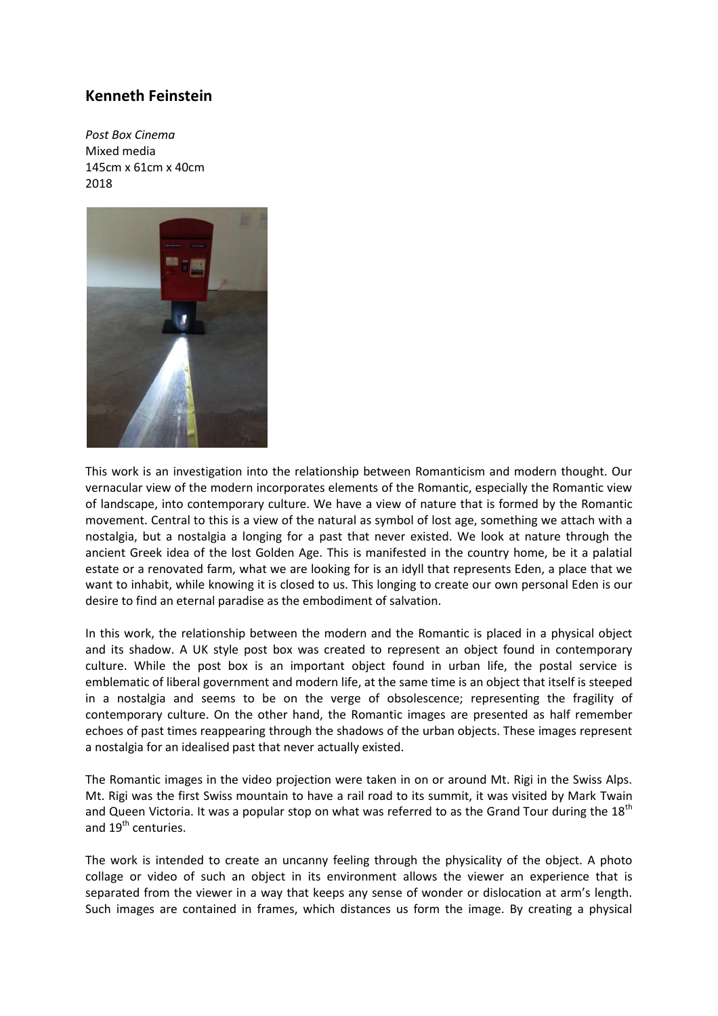## **Kenneth Feinstein**

*Post Box Cinema* Mixed media 145cm x 61cm x 40cm 2018



This work is an investigation into the relationship between Romanticism and modern thought. Our vernacular view of the modern incorporates elements of the Romantic, especially the Romantic view of landscape, into contemporary culture. We have a view of nature that is formed by the Romantic movement. Central to this is a view of the natural as symbol of lost age, something we attach with a nostalgia, but a nostalgia a longing for a past that never existed. We look at nature through the ancient Greek idea of the lost Golden Age. This is manifested in the country home, be it a palatial estate or a renovated farm, what we are looking for is an idyll that represents Eden, a place that we want to inhabit, while knowing it is closed to us. This longing to create our own personal Eden is our desire to find an eternal paradise as the embodiment of salvation.

In this work, the relationship between the modern and the Romantic is placed in a physical object and its shadow. A UK style post box was created to represent an object found in contemporary culture. While the post box is an important object found in urban life, the postal service is emblematic of liberal government and modern life, at the same time is an object that itself is steeped in a nostalgia and seems to be on the verge of obsolescence; representing the fragility of contemporary culture. On the other hand, the Romantic images are presented as half remember echoes of past times reappearing through the shadows of the urban objects. These images represent a nostalgia for an idealised past that never actually existed.

The Romantic images in the video projection were taken in on or around Mt. Rigi in the Swiss Alps. Mt. Rigi was the first Swiss mountain to have a rail road to its summit, it was visited by Mark Twain and Queen Victoria. It was a popular stop on what was referred to as the Grand Tour during the 18<sup>th</sup> and 19<sup>th</sup> centuries.

The work is intended to create an uncanny feeling through the physicality of the object. A photo collage or video of such an object in its environment allows the viewer an experience that is separated from the viewer in a way that keeps any sense of wonder or dislocation at arm's length. Such images are contained in frames, which distances us form the image. By creating a physical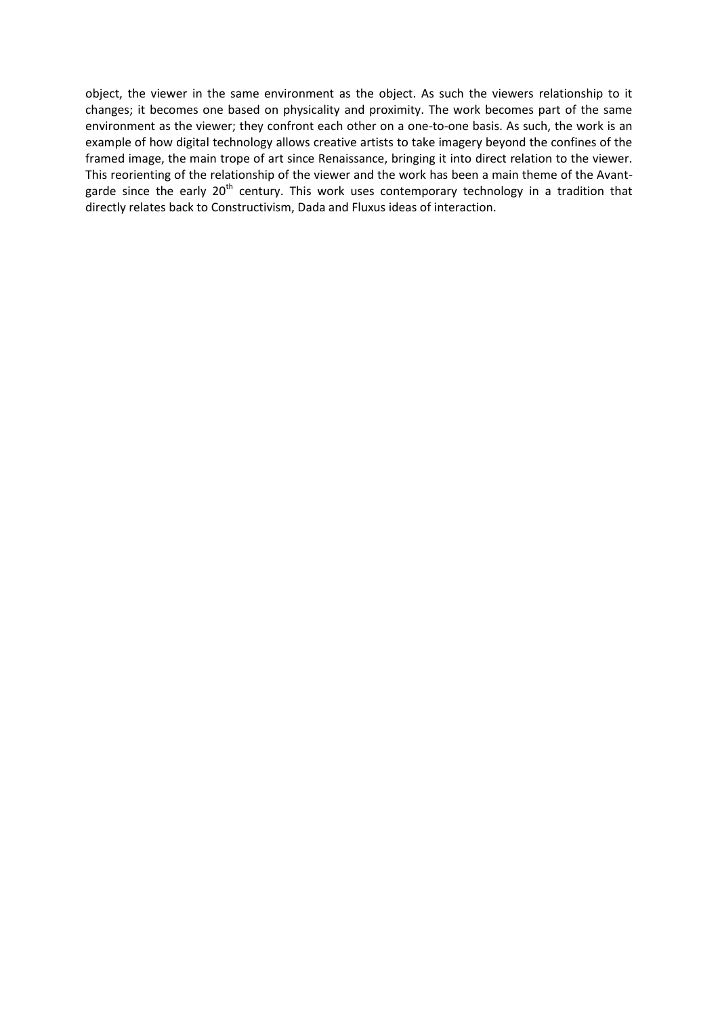object, the viewer in the same environment as the object. As such the viewers relationship to it changes; it becomes one based on physicality and proximity. The work becomes part of the same environment as the viewer; they confront each other on a one-to-one basis. As such, the work is an example of how digital technology allows creative artists to take imagery beyond the confines of the framed image, the main trope of art since Renaissance, bringing it into direct relation to the viewer. This reorienting of the relationship of the viewer and the work has been a main theme of the Avantgarde since the early  $20<sup>th</sup>$  century. This work uses contemporary technology in a tradition that directly relates back to Constructivism, Dada and Fluxus ideas of interaction.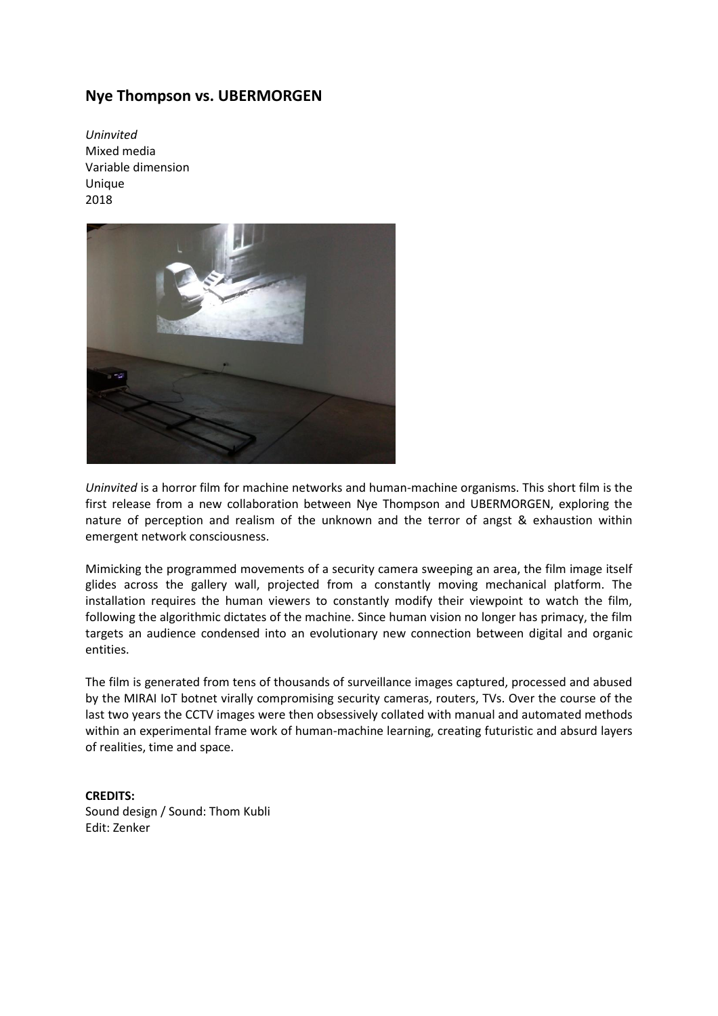## **Nye Thompson vs. UBERMORGEN**

*Uninvited* Mixed media Variable dimension Unique 2018



*Uninvited* is a horror film for machine networks and human-machine organisms. This short film is the first release from a new collaboration between Nye Thompson and UBERMORGEN, exploring the nature of perception and realism of the unknown and the terror of angst & exhaustion within emergent network consciousness.

Mimicking the programmed movements of a security camera sweeping an area, the film image itself glides across the gallery wall, projected from a constantly moving mechanical platform. The installation requires the human viewers to constantly modify their viewpoint to watch the film, following the algorithmic dictates of the machine. Since human vision no longer has primacy, the film targets an audience condensed into an evolutionary new connection between digital and organic entities.

The film is generated from tens of thousands of surveillance images captured, processed and abused by the MIRAI IoT botnet virally compromising security cameras, routers, TVs. Over the course of the last two years the CCTV images were then obsessively collated with manual and automated methods within an experimental frame work of human-machine learning, creating futuristic and absurd layers of realities, time and space.

**CREDITS:** Sound design / Sound: Thom Kubli Edit: Zenker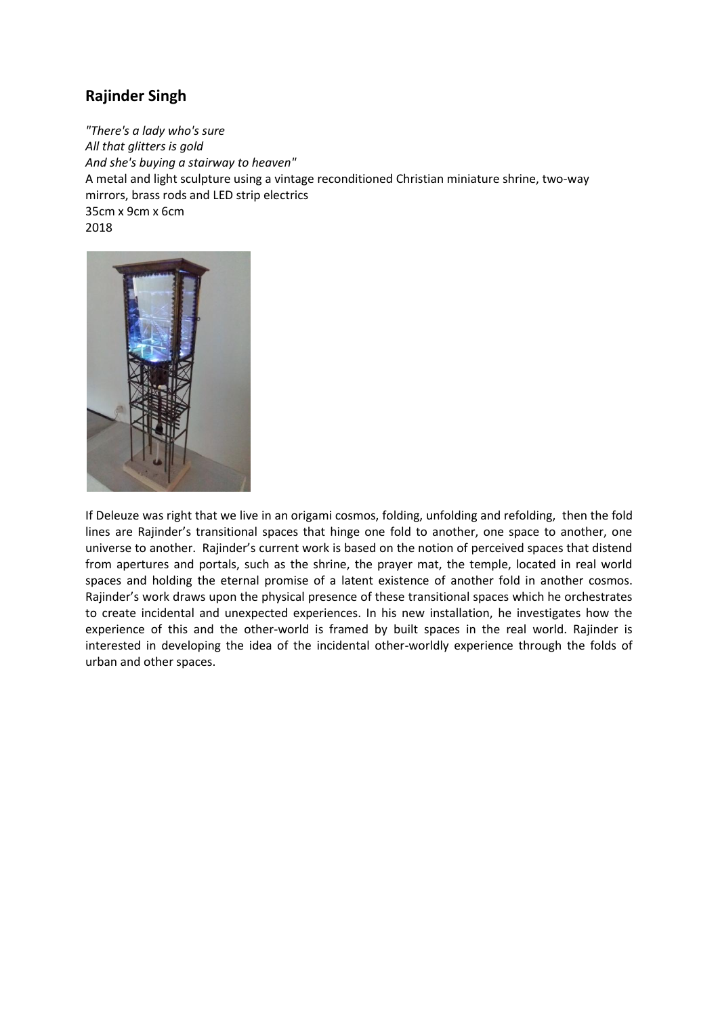# **Rajinder Singh**

*"There's a lady who's sure All that glitters is gold And she's buying a stairway to heaven"* A metal and light sculpture using a vintage reconditioned Christian miniature shrine, two-way mirrors, brass rods and LED strip electrics 35cm x 9cm x 6cm 2018



If Deleuze was right that we live in an origami cosmos, folding, unfolding and refolding, then the fold lines are Rajinder's transitional spaces that hinge one fold to another, one space to another, one universe to another. Rajinder's current work is based on the notion of perceived spaces that distend from apertures and portals, such as the shrine, the prayer mat, the temple, located in real world spaces and holding the eternal promise of a latent existence of another fold in another cosmos. Rajinder's work draws upon the physical presence of these transitional spaces which he orchestrates to create incidental and unexpected experiences. In his new installation, he investigates how the experience of this and the other-world is framed by built spaces in the real world. Rajinder is interested in developing the idea of the incidental other-worldly experience through the folds of urban and other spaces.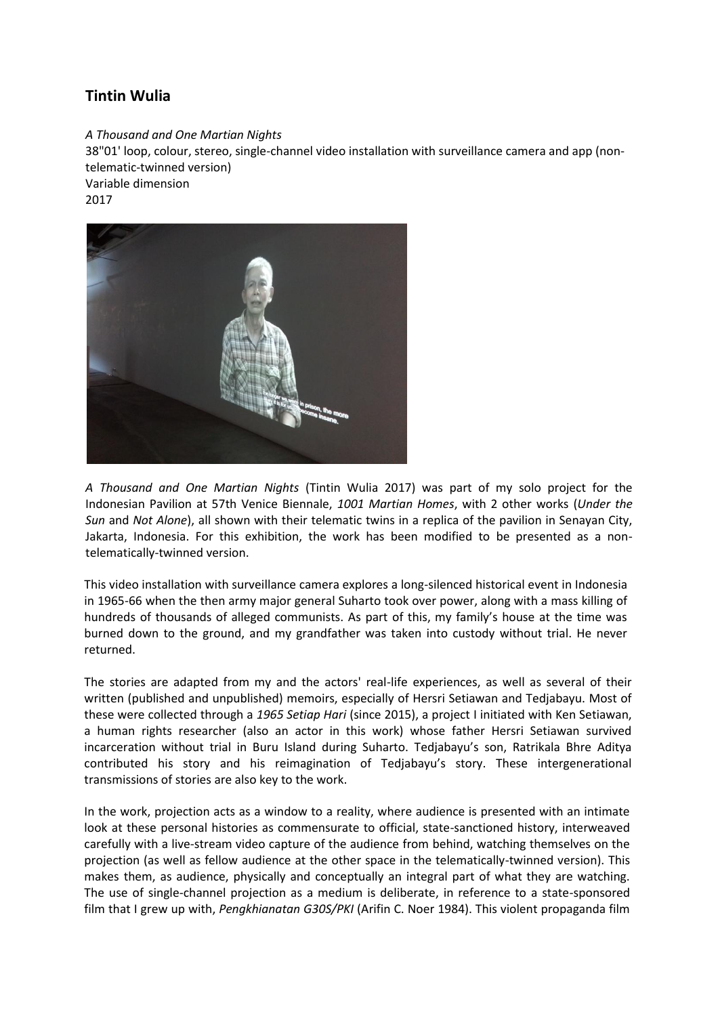## **Tintin Wulia**

*A Thousand and One Martian Nights* 38"01' loop, colour, stereo, single-channel video installation with surveillance camera and app (nontelematic-twinned version) Variable dimension 2017



*A Thousand and One Martian Nights* (Tintin Wulia 2017) was part of my solo project for the Indonesian Pavilion at 57th Venice Biennale, *1001 Martian Homes*, with 2 other works (*Under the Sun* and *Not Alone*), all shown with their telematic twins in a replica of the pavilion in Senayan City, Jakarta, Indonesia. For this exhibition, the work has been modified to be presented as a nontelematically-twinned version.

This video installation with surveillance camera explores a long-silenced historical event in Indonesia in 1965-66 when the then army major general Suharto took over power, along with a mass killing of hundreds of thousands of alleged communists. As part of this, my family's house at the time was burned down to the ground, and my grandfather was taken into custody without trial. He never returned.

The stories are adapted from my and the actors' real-life experiences, as well as several of their written (published and unpublished) memoirs, especially of Hersri Setiawan and Tedjabayu. Most of these were collected through a *1965 Setiap Hari* (since 2015), a project I initiated with Ken Setiawan, a human rights researcher (also an actor in this work) whose father Hersri Setiawan survived incarceration without trial in Buru Island during Suharto. Tedjabayu's son, Ratrikala Bhre Aditya contributed his story and his reimagination of Tedjabayu's story. These intergenerational transmissions of stories are also key to the work.

In the work, projection acts as a window to a reality, where audience is presented with an intimate look at these personal histories as commensurate to official, state-sanctioned history, interweaved carefully with a live-stream video capture of the audience from behind, watching themselves on the projection (as well as fellow audience at the other space in the telematically-twinned version). This makes them, as audience, physically and conceptually an integral part of what they are watching. The use of single-channel projection as a medium is deliberate, in reference to a state-sponsored film that I grew up with, *Pengkhianatan G30S/PKI* (Arifin C. Noer 1984). This violent propaganda film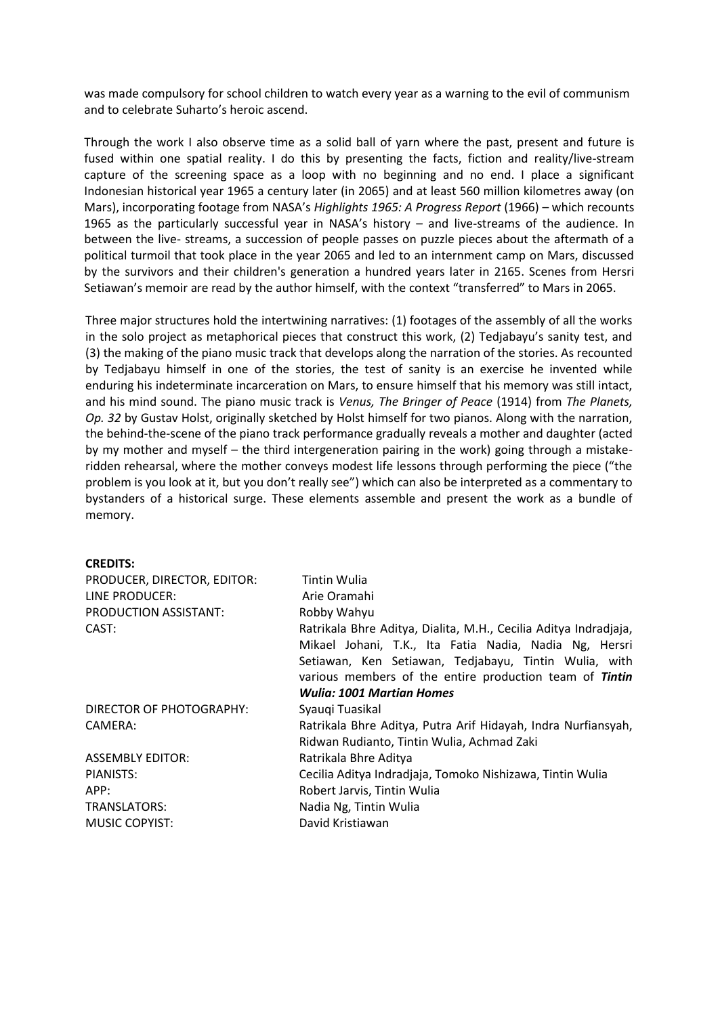was made compulsory for school children to watch every year as a warning to the evil of communism and to celebrate Suharto's heroic ascend.

Through the work I also observe time as a solid ball of yarn where the past, present and future is fused within one spatial reality. I do this by presenting the facts, fiction and reality/live-stream capture of the screening space as a loop with no beginning and no end. I place a significant Indonesian historical year 1965 a century later (in 2065) and at least 560 million kilometres away (on Mars), incorporating footage from NASA's *Highlights 1965: A Progress Report* (1966) – which recounts 1965 as the particularly successful year in NASA's history – and live-streams of the audience. In between the live- streams, a succession of people passes on puzzle pieces about the aftermath of a political turmoil that took place in the year 2065 and led to an internment camp on Mars, discussed by the survivors and their children's generation a hundred years later in 2165. Scenes from Hersri Setiawan's memoir are read by the author himself, with the context "transferred" to Mars in 2065.

Three major structures hold the intertwining narratives: (1) footages of the assembly of all the works in the solo project as metaphorical pieces that construct this work, (2) Tedjabayu's sanity test, and (3) the making of the piano music track that develops along the narration of the stories. As recounted by Tedjabayu himself in one of the stories, the test of sanity is an exercise he invented while enduring his indeterminate incarceration on Mars, to ensure himself that his memory was still intact, and his mind sound. The piano music track is *Venus, The Bringer of Peace* (1914) from *The Planets, Op. 32* by Gustav Holst, originally sketched by Holst himself for two pianos. Along with the narration, the behind-the-scene of the piano track performance gradually reveals a mother and daughter (acted by my mother and myself – the third intergeneration pairing in the work) going through a mistakeridden rehearsal, where the mother conveys modest life lessons through performing the piece ("the problem is you look at it, but you don't really see") which can also be interpreted as a commentary to bystanders of a historical surge. These elements assemble and present the work as a bundle of memory.

#### **CREDITS:**

| PRODUCER, DIRECTOR, EDITOR:<br>LINE PRODUCER:<br><b>PRODUCTION ASSISTANT:</b><br>CAST: | Tintin Wulia<br>Arie Oramahi<br>Robby Wahyu<br>Ratrikala Bhre Aditya, Dialita, M.H., Cecilia Aditya Indradjaja,<br>Mikael Johani, T.K., Ita Fatia Nadia, Nadia Ng, Hersri<br>Setiawan, Ken Setiawan, Tedjabayu, Tintin Wulia, with<br>various members of the entire production team of Tintin<br><b>Wulia: 1001 Martian Homes</b> |
|----------------------------------------------------------------------------------------|-----------------------------------------------------------------------------------------------------------------------------------------------------------------------------------------------------------------------------------------------------------------------------------------------------------------------------------|
| DIRECTOR OF PHOTOGRAPHY:                                                               | Syaugi Tuasikal                                                                                                                                                                                                                                                                                                                   |
| CAMERA:                                                                                | Ratrikala Bhre Aditya, Putra Arif Hidayah, Indra Nurfiansyah,<br>Ridwan Rudianto, Tintin Wulia, Achmad Zaki                                                                                                                                                                                                                       |
| <b>ASSEMBLY EDITOR:</b>                                                                | Ratrikala Bhre Aditya                                                                                                                                                                                                                                                                                                             |
| PIANISTS:                                                                              | Cecilia Aditya Indradjaja, Tomoko Nishizawa, Tintin Wulia                                                                                                                                                                                                                                                                         |
| APP:                                                                                   | Robert Jarvis, Tintin Wulia                                                                                                                                                                                                                                                                                                       |
| <b>TRANSLATORS:</b>                                                                    | Nadia Ng, Tintin Wulia                                                                                                                                                                                                                                                                                                            |
| MUSIC COPYIST:                                                                         | David Kristiawan                                                                                                                                                                                                                                                                                                                  |